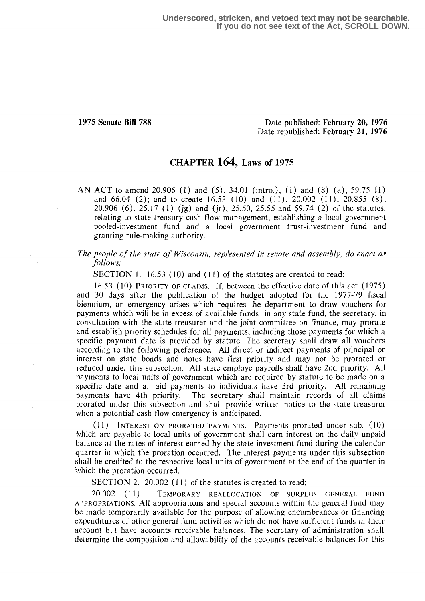#### 1975 Senate Bill 788 Date published: February 20, 1976 Date republished: February 21, 1976

### CHAPTER 164, Laws of 1975

AN ACT to amend 20.906 (1) and (5), 34.01 (intro.), (1) and (8) (a), 59.75 (1) and 66.04 (2); and to create 16.53 (10) and (11), 20.002 (11), 20.855 (8), 20.906 (6), 25.17 (1) (jg) and (jr), 25.50, 25.55 and 59.74 (2) of the statutes, relating to state treasury cash flow management, establishing a local government pooled-investment fund and a local government trust-investment fund and granting rule-making authority.

The people of the state of Wisconsin, represented in senate and assembly, do enact as follows:

SECTION 1. 16.53 (10) and (11) of the statutes are created to read:

16.53 (10) PRIORITY OF CLAIMS. If, between the effective date of this act (1975) and 30 days after the publication of the budget adopted for the 1977-79 fiscal biennium, an emergency arises which requires the department to draw vouchers for payments which will be in excess of available funds in any state fund, the secretary, in consultation with the state treasurer and the joint committee on finance, may prorate and establish priority schedules for all payments, including those payments for which a specific payment date is provided by statute. The secretary shall draw all vouchers according to the following preference . All direct or indirect payments of principal or interest on state bonds and notes have first priority and may not be prorated or reduced under this subsection. All state employe payrolls shall have 2nd priority. All payments to local units of government which are required by statute to be made on a specific date and all aid payments to individuals have 3rd priority. All remaining payments have 4th priority. The secretary shall maintain records of all claims The secretary shall maintain records of all claims prorated under this subsection and shall provide written notice to the state treasurer when a potential cash flow emergency is anticipated.

( 11) INTEREST ON PRORATED PAYMENTS. Payments prorated under sub. (10) Which are payable to local units of government shall earn interest on the daily unpaid balance at the rates of interest earned by the state investment fund during the calendar quarter in which the proration occurred. The interest payments under this subsection shall be credited to the respective local units of government at the end of the quarter in `which the proration occurred.

SECTION 2. 20.002 (11) of the statutes is created to read:

20.002 (II) TEMPORARY REALLOCATION OF SURPLUS GENERAL FUND APPROPRIATIONS . A11 appropriations and special accounts within the general fund may be made temporarily available for the purpose of allowing encumbrances or financing expenditures of other general fund activities which do not have sufficient funds in their account but have accounts receivable balances . The secretary of administration shall determine the composition and allowability of the accounts receivable balances for this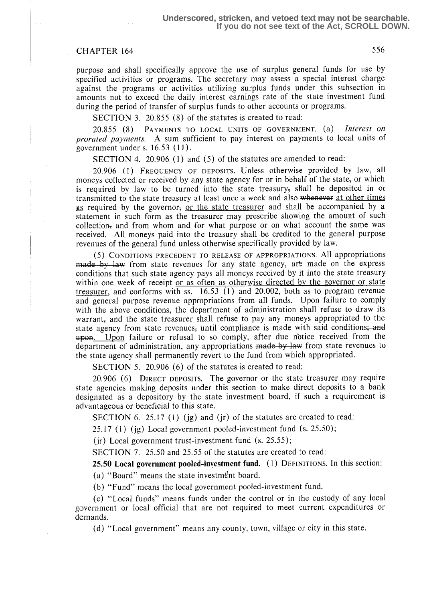## CHAPTER 164 556

purpose and shall specifically approve the use of surplus general funds for use by specified activities or programs. The secretary may assess a special interest charge against the programs or activities utilizing surplus funds under this subsection in amounts not to exceed the daily interest earnings rate of the state investment fund during the period of transfer of surplus funds to other accounts or programs.

SECTION 3. 20.855 (8) of the statutes is created to read:

20.855 (8) PAYMENTS TO LOCAL UNITS OF GOVERNMENT. (a) Interest on prorated payments. A sum sufficient to pay interest on payments to local units of government under s.  $16.53$   $(11)$ .

SECTION 4. 20.906 (1) and (5) of the statutes are amended to read:

20.906 (1) FREQUENCY of DEPOSITS . Unless otherwise provided by law, all moneys collected or received by any state agency for or in behalf of the state, or which is required by law to be turned into the state treasury; shall be deposited in or transmitted to the state treasury at least once a week and also whenever at other times as required by the governor<sub>s</sub> or the state treasurer and shall be accompanied by a statement in such form as the treasurer may prescribe showing the amount of such collection, and from whom and for what purpose or on what account the same was received. All moneys paid into the treasury shall be credited to the general purpose revenues of the general fund unless otherwise specifically provided by law.

(S) CONDITIONS PRECEDENT TO RELEASE OF APPROPRIATIONS. All appropriations made by law from state revenues for any state agency, are made on the express conditions that such state agency pays all moneys received by it into the state treasury within one week of receipt or as often as otherwise directed by the governor or state treasurer, and conforms with ss.  $16.53$  (1) and 20.002, both as to program revenue and general purpose revenue appropriations from all funds. Upon failure to comply with the above conditions, the department of administration shall refuse to draw its warrant, and the state treasurer shall refuse to pay any moneys appropriated to the state agency from state revenues<sub>s</sub> until compliance is made with said conditions; and upon. Upon failure or refusal to so comply, after due notice received from the department of administration, any appropriations made by law from state revenues to the state agency shall permanently revert to the fund from which appropriated.

SECTION 5. 20.906 (6) of the statutes is created to read:

20.906 (6) DIRECT DEPOSITS . The governor or the state treasurer may require state agencies making deposits under this section to make direct deposits to a bank designated as a depository by the state investment board, if such a requirement is advantageous or beneficial to this state.

SECTION 6. 25.17 (1) (ig) and (ir) of the statutes are created to read:

 $25.17$  (1) (ig) Local government pooled-investment fund (s.  $25.50$ );

(jr) Local government trust-investment fund  $(s. 25.55)$ ;

SECTION 7. 25.50 and 25.55 of the statutes are created to read:

25.50 Local government pooled-investment fund. (1) DEFINITIONS. In this section :

(a) "Board" means the state investment board.

(b) "Fund" means the local government pooled-investment fund.

(c) "Local funds" means funds under the control or in the custody of any local government or local official that are not required to meet current expenditures or demands.

(d) "Local government" means any county, town, village or city in this state.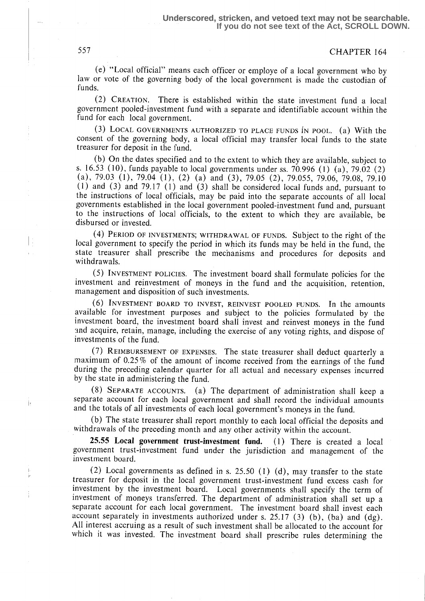# 557 CHAPTER 164

(e) "Local official" means each officer or employe of a local government who by law or vote of the governing body of the local government is made the custodian of funds.

(2) CREATION. There is established within the state investment fund a local government pooled-investment fund with a separate and identifiable account within the fund for each local government.

(3) LOCAL GOVERNMENTS AUTHORIZED TO PLACE FUNDS IN POOL. (a) With the consent of the governing body, a local official may transfer local funds to the state treasurer for deposit in the fund.

(b) On the dates specified and to the extent to which they are available, subject to s. 16 .53 (l0), funds payable to local governments under ss . 70.996 (1) (a), 79.02 (2) (a), 79.03 (1), 79.04 (1), (2) (a) and (3), 79.05 (2), 79 .055, 79.06, 79.08, 79 .10 (1) and (3) and 79.17 (1) and (3) shall be considered local funds and, pursuant to the instructions of local officials, may be paid into the separate accounts of all local governments established in the local government pooled-investment fund and, pursuant to the instructions of local officials, to the extent to which they are available, be disbursed or invested.

PERIOD OF INVESTMENTS; WITHDRAWAL OF FUNDS. Subject t0 the right of the local government to specify the period in which its funds may be held in the fund, the state treasurer shall prescribe the mechanisms and procedures for deposits and withdrawals.

(5) INVESTMENT POLICIES. The investment board shall formulate policies for the investment and reinvestment of moneys in the fund and the acquisition, retention, management and disposition of such investments.

INVESTMENT BOARD TO INVEST, REINVEST POOLED FUNDS. In the amounts available for investment purposes and subject to the policies formulated by the investment board, the investment board shall invest and reinvest moneys in the fund and acquire, retain, manage, including the exercise of any voting rights, and dispose of investments of the fund.

(7) REIMBURSEMENT of EXPENSES. The state treasurer shall deduct quarterly a maximum of 0.25% of the amount of income received from the earnings of the fund during the preceding calendar quarter for all actual and necessary expenses incurred by the state in administering the fund.

(8) SEPARATE ACCOUNTS. (a) The department of administration shall keep a separate account for each local government and shall record the individual amounts and the totals of all investments of each local government's moneys in the fund.

(b) The state treasurer shall report monthly to each local official the deposits and withdrawals of the preceding month and any other activity within the account.

25.55 Local government trust-investment fund. (1) There is created a local government trust-investment fund under the jurisdiction and management of the investment board.

(2) Local governments as defined in s. 25.50 (1) (d), may transfer to the state treasurer for deposit in the local government trust-investment fund excess cash for investment by the investment board. Local governments shall specify the term of investment of moneys transferred. The department of administration shall set up a separate account for each local government. The investment board shall invest each account separately in investments authorized under s. 25.17 (3) (b), (ba) and  $(dg)$ . All interest accruing as a result of such investment shall be allocated to the account for which it was invested. The investment board shall prescribe rules determining the

 $\vert$  :

j.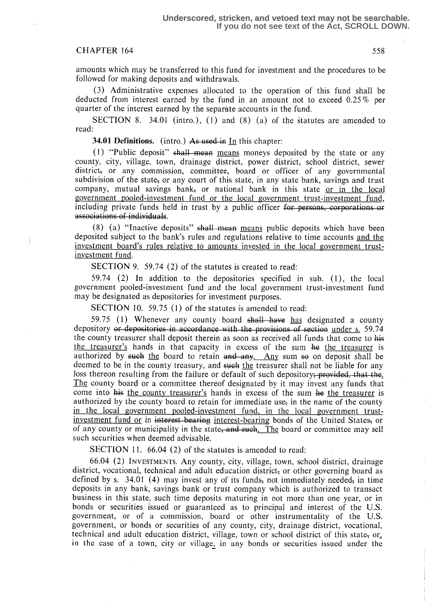#### CHAPTER 164 558

amounts which may be transferred to this fund for investment and the procedures to be followed for making deposits and withdrawals.

(3) Administrative expenses allocated to the operation of this fund shall be deducted from interest earned by the fund in an amount not to exceed 0.25% per quarter of the interest earned by the separate accounts in the fund.

SECTION 8. 34.01 (intro.),  $(1)$  and  $(8)$  (a) of the statutes are amended to read:

34.01 Definitions. (intro.) As used in In this chapter:

(1) "Public deposit"  $\frac{1}{2}$  shall mean means moneys deposited by the state or any county, city, village, town, drainage district, power district, school district, sewer district; or any commission, committee, board or officer of any governmental subdivision of the state; or any court of this state, in any state bank, savings and trust company, mutual savings bank, or national bank in this state or in the local government pooled-investment fund or the local government trust-investment fund, including private funds held in trust by a public officer for persons, corporations or associations of individuals.

 $(8)$  (a) "Inactive deposits" shall mean means public deposits which have been deposited subject to the bank's rules and regulations relative to time accounts and the investment board's rules relative to amounts invested in the local government trustinvestment fund.

SECTION 9. 59.74 (2) of the statutes is created to read:

59.74 (2) In addition to the depositories specified in sub. (1), the local government pooled-investment fund and the local government trust-investment fund may be designated as depositories for investment purposes.

SECTION 10. 59.75 (1) of the statutes is amended to read:

59.75 (1) Whenever any county board  $shall$  have has designated a county depository or depositories in accordance with the provisions of section under s. 59.74 the county treasurer shall deposit therein as soon as received all funds that come to his the treasurer's hands in that capacity in excess of the sum he the treasurer is authorized by such the board to retain and any. Any sum so on deposit shall be deemed to be in the county treasury, and such the treasurer shall not be liable for any loss thereon resulting from the failure or default of such depository<del>; provided, that the</del>. The county board or a committee thereof designated by it may invest any funds that come into his the county treasurer's hands in excess of the sum he the treasurer is authorized by the county board to retain for immediate use, in the name of the county in the local government pooled-investment fund, in the local government trustinvestment fund or in interest-bearing interest-bearing bonds of the United States, or of any county or municipality in the state, and such. The board or committee may sell such securities when deemed advisable.

SECTION 11. 66.04 (2) of the statutes is amended to read:

66.04 (2) INVESTMENTS. Any county, city, village, town, school district, drainage district, vocational, technical and adult education district; or other governing board as defined by s. 34.01 (4) may invest any of its funds, not immediately needed, in time deposits in any bank, savings bank or trust company which is authorized to transact business in this state, such time deposits maturing in not more than one year, or in bonds or securities issued or guaranteed as to principal and interest of the U.S. government, or of a commission, board or other instrumentality of the U.S. government, or bonds or securities of any county, city, drainage district, vocational, technical and adult education district, village, town or school district of this state, or, in the case of a town, city or village, in any bonds or securities issued under the